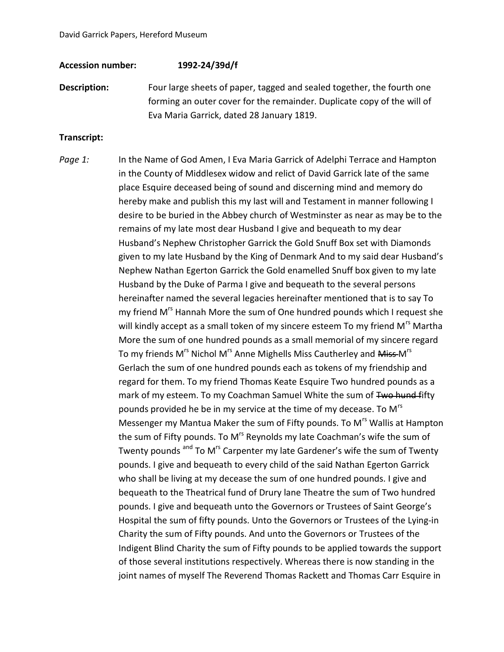## **Accession number: 1992-24/39d/f**

**Description:** Four large sheets of paper, tagged and sealed together, the fourth one forming an outer cover for the remainder. Duplicate copy of the will of Eva Maria Garrick, dated 28 January 1819.

## **Transcript:**

*Page 1:* In the Name of God Amen, I Eva Maria Garrick of Adelphi Terrace and Hampton in the County of Middlesex widow and relict of David Garrick late of the same place Esquire deceased being of sound and discerning mind and memory do hereby make and publish this my last will and Testament in manner following I desire to be buried in the Abbey church of Westminster as near as may be to the remains of my late most dear Husband I give and bequeath to my dear Husband's Nephew Christopher Garrick the Gold Snuff Box set with Diamonds given to my late Husband by the King of Denmark And to my said dear Husband's Nephew Nathan Egerton Garrick the Gold enamelled Snuff box given to my late Husband by the Duke of Parma I give and bequeath to the several persons hereinafter named the several legacies hereinafter mentioned that is to say To my friend M<sup>rs</sup> Hannah More the sum of One hundred pounds which I request she will kindly accept as a small token of my sincere esteem To my friend M<sup>rs</sup> Martha More the sum of one hundred pounds as a small memorial of my sincere regard To my friends M<sup>rs</sup> Nichol M<sup>rs</sup> Anne Mighells Miss Cautherley and <del>Miss </del>M<sup>rs</sup> Gerlach the sum of one hundred pounds each as tokens of my friendship and regard for them. To my friend Thomas Keate Esquire Two hundred pounds as a mark of my esteem. To my Coachman Samuel White the sum of Two hund fifty pounds provided he be in my service at the time of my decease. To M<sup>rs</sup> Messenger my Mantua Maker the sum of Fifty pounds. To M<sup>rs</sup> Wallis at Hampton the sum of Fifty pounds. To M<sup>rs</sup> Reynolds my late Coachman's wife the sum of Twenty pounds <sup>and</sup> To M<sup>rs</sup> Carpenter my late Gardener's wife the sum of Twenty pounds. I give and bequeath to every child of the said Nathan Egerton Garrick who shall be living at my decease the sum of one hundred pounds. I give and bequeath to the Theatrical fund of Drury lane Theatre the sum of Two hundred pounds. I give and bequeath unto the Governors or Trustees of Saint George's Hospital the sum of fifty pounds. Unto the Governors or Trustees of the Lying-in Charity the sum of Fifty pounds. And unto the Governors or Trustees of the Indigent Blind Charity the sum of Fifty pounds to be applied towards the support of those several institutions respectively. Whereas there is now standing in the joint names of myself The Reverend Thomas Rackett and Thomas Carr Esquire in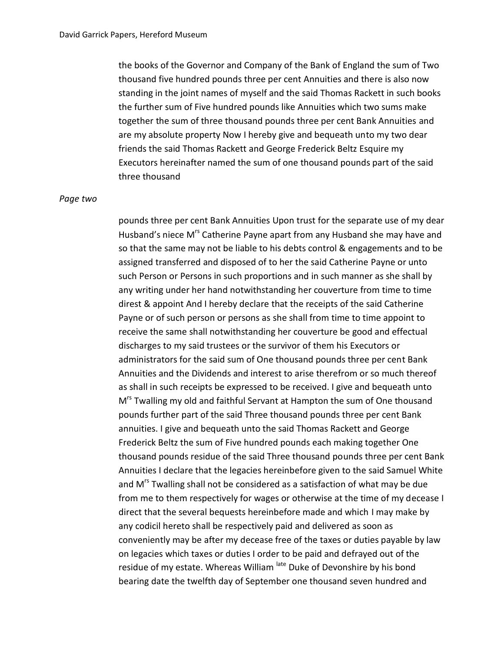the books of the Governor and Company of the Bank of England the sum of Two thousand five hundred pounds three per cent Annuities and there is also now standing in the joint names of myself and the said Thomas Rackett in such books the further sum of Five hundred pounds like Annuities which two sums make together the sum of three thousand pounds three per cent Bank Annuities and are my absolute property Now I hereby give and bequeath unto my two dear friends the said Thomas Rackett and George Frederick Beltz Esquire my Executors hereinafter named the sum of one thousand pounds part of the said three thousand

## *Page two*

pounds three per cent Bank Annuities Upon trust for the separate use of my dear Husband's niece M<sup>rs</sup> Catherine Payne apart from any Husband she may have and so that the same may not be liable to his debts control & engagements and to be assigned transferred and disposed of to her the said Catherine Payne or unto such Person or Persons in such proportions and in such manner as she shall by any writing under her hand notwithstanding her couverture from time to time direst & appoint And I hereby declare that the receipts of the said Catherine Payne or of such person or persons as she shall from time to time appoint to receive the same shall notwithstanding her couverture be good and effectual discharges to my said trustees or the survivor of them his Executors or administrators for the said sum of One thousand pounds three per cent Bank Annuities and the Dividends and interest to arise therefrom or so much thereof as shall in such receipts be expressed to be received. I give and bequeath unto M<sup>rs</sup> Twalling my old and faithful Servant at Hampton the sum of One thousand pounds further part of the said Three thousand pounds three per cent Bank annuities. I give and bequeath unto the said Thomas Rackett and George Frederick Beltz the sum of Five hundred pounds each making together One thousand pounds residue of the said Three thousand pounds three per cent Bank Annuities I declare that the legacies hereinbefore given to the said Samuel White and M<sup>rs</sup> Twalling shall not be considered as a satisfaction of what may be due from me to them respectively for wages or otherwise at the time of my decease I direct that the several bequests hereinbefore made and which I may make by any codicil hereto shall be respectively paid and delivered as soon as conveniently may be after my decease free of the taxes or duties payable by law on legacies which taxes or duties I order to be paid and defrayed out of the residue of my estate. Whereas William late Duke of Devonshire by his bond bearing date the twelfth day of September one thousand seven hundred and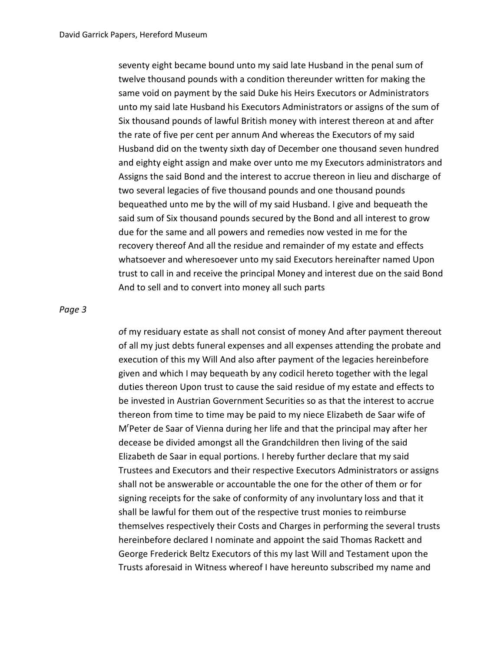seventy eight became bound unto my said late Husband in the penal sum of twelve thousand pounds with a condition thereunder written for making the same void on payment by the said Duke his Heirs Executors or Administrators unto my said late Husband his Executors Administrators or assigns of the sum of Six thousand pounds of lawful British money with interest thereon at and after the rate of five per cent per annum And whereas the Executors of my said Husband did on the twenty sixth day of December one thousand seven hundred and eighty eight assign and make over unto me my Executors administrators and Assigns the said Bond and the interest to accrue thereon in lieu and discharge of two several legacies of five thousand pounds and one thousand pounds bequeathed unto me by the will of my said Husband. I give and bequeath the said sum of Six thousand pounds secured by the Bond and all interest to grow due for the same and all powers and remedies now vested in me for the recovery thereof And all the residue and remainder of my estate and effects whatsoever and wheresoever unto my said Executors hereinafter named Upon trust to call in and receive the principal Money and interest due on the said Bond And to sell and to convert into money all such parts

## *Page 3*

*o*f my residuary estate as shall not consist of money And after payment thereout of all my just debts funeral expenses and all expenses attending the probate and execution of this my Will And also after payment of the legacies hereinbefore given and which I may bequeath by any codicil hereto together with the legal duties thereon Upon trust to cause the said residue of my estate and effects to be invested in Austrian Government Securities so as that the interest to accrue thereon from time to time may be paid to my niece Elizabeth de Saar wife of M<sup>r</sup>Peter de Saar of Vienna during her life and that the principal may after her decease be divided amongst all the Grandchildren then living of the said Elizabeth de Saar in equal portions. I hereby further declare that my said Trustees and Executors and their respective Executors Administrators or assigns shall not be answerable or accountable the one for the other of them or for signing receipts for the sake of conformity of any involuntary loss and that it shall be lawful for them out of the respective trust monies to reimburse themselves respectively their Costs and Charges in performing the several trusts hereinbefore declared I nominate and appoint the said Thomas Rackett and George Frederick Beltz Executors of this my last Will and Testament upon the Trusts aforesaid in Witness whereof I have hereunto subscribed my name and